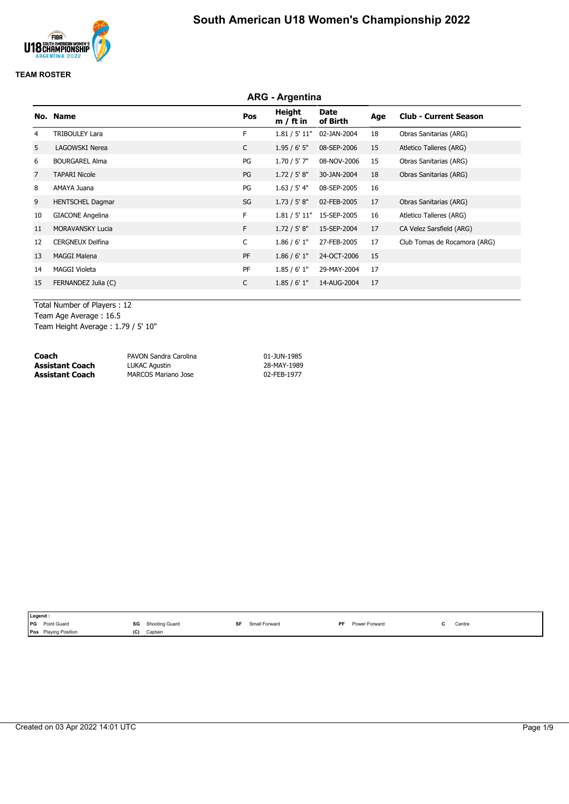

### **TEAM ROSTER**

|    | <b>ARG - Argentina</b>  |              |                       |                  |     |                              |  |  |  |
|----|-------------------------|--------------|-----------------------|------------------|-----|------------------------------|--|--|--|
|    | No. Name                | Pos          | Height<br>$m / ft$ in | Date<br>of Birth | Age | <b>Club - Current Season</b> |  |  |  |
| 4  | <b>TRIBOULEY Lara</b>   | F.           | 1.81 / 5' 11"         | 02-JAN-2004      | 18  | Obras Sanitarias (ARG)       |  |  |  |
| 5  | LAGOWSKI Nerea          | $\mathsf{C}$ | 1.95/6'5''            | 08-SEP-2006      | 15  | Atletico Talleres (ARG)      |  |  |  |
| 6  | <b>BOURGAREL Alma</b>   | PG           | $1.70 / 5'$ 7"        | 08-NOV-2006      | 15  | Obras Sanitarias (ARG)       |  |  |  |
| 7  | <b>TAPARI Nicole</b>    | PG           | 1.72 / 5' 8''         | 30-JAN-2004      | 18  | Obras Sanitarias (ARG)       |  |  |  |
| 8  | AMAYA Juana             | PG           | 1.63 / 5' 4"          | 08-SEP-2005      | 16  |                              |  |  |  |
| 9  | <b>HENTSCHEL Dagmar</b> | SG           | 1.73 / 5' 8''         | 02-FEB-2005      | 17  | Obras Sanitarias (ARG)       |  |  |  |
| 10 | <b>GIACONE Angelina</b> | F.           | 1.81 / 5' 11"         | 15-SEP-2005      | 16  | Atletico Talleres (ARG)      |  |  |  |
| 11 | <b>MORAVANSKY Lucia</b> | F.           | 1.72 / 5' 8''         | 15-SEP-2004      | 17  | CA Velez Sarsfield (ARG)     |  |  |  |
| 12 | <b>CERGNEUX Delfina</b> | C            | 1.86 / 6' 1''         | 27-FEB-2005      | 17  | Club Tomas de Rocamora (ARG) |  |  |  |
| 13 | <b>MAGGI Malena</b>     | PF           | 1.86 / 6' 1''         | 24-OCT-2006      | 15  |                              |  |  |  |
| 14 | <b>MAGGI Violeta</b>    | PF           | 1.85/6'1"             | 29-MAY-2004      | 17  |                              |  |  |  |
| 15 | FERNANDEZ Julia (C)     | C            | 1.85/6'1"             | 14-AUG-2004      | 17  |                              |  |  |  |
|    |                         |              |                       |                  |     |                              |  |  |  |

Total Number of Players : 12 Team Age Average : 16.5 Team Height Average : 1.79 / 5' 10"

| Coach                  | PAVON Sandra Carolina      | 01-JUN-1985 |
|------------------------|----------------------------|-------------|
| <b>Assistant Coach</b> | LUKAC Agustin              | 28-MAY-1989 |
| <b>Assistant Coach</b> | <b>MARCOS Mariano Jose</b> | 02-FEB-1977 |

| Legend :                                                                     |     |                       |    |               |           |                    |                                               |
|------------------------------------------------------------------------------|-----|-----------------------|----|---------------|-----------|--------------------|-----------------------------------------------|
| <b>IPG</b><br>Point Guard<br>the contract of the contract of the contract of | SG  | <b>Shooting Guard</b> | eг | Small Forward | <b>DE</b> | Power<br>r Forward | Centre<br>the contract of the contract of the |
| <b>Playing Position</b><br>Pos                                               | (C) | Captain               |    |               |           |                    |                                               |
|                                                                              |     |                       |    |               |           |                    |                                               |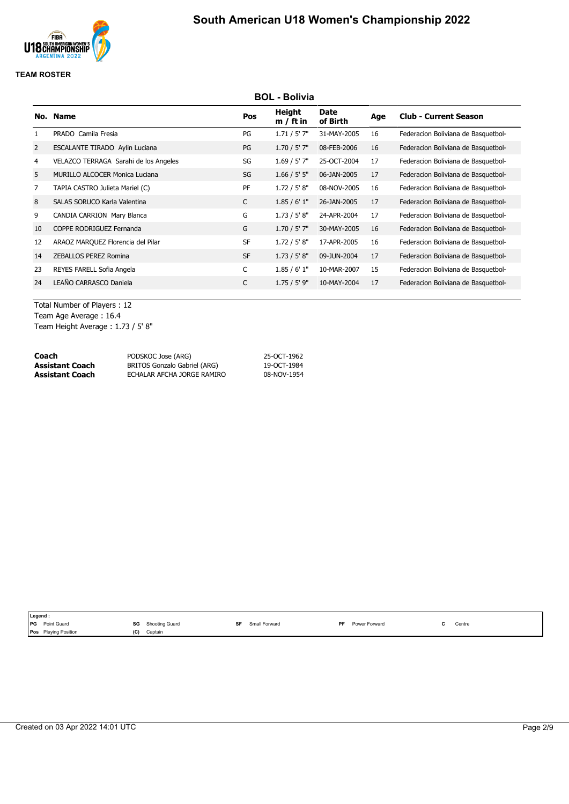

## **TEAM ROSTER**

|                | <b>BOL - Bolivia</b>                  |           |                       |                  |     |                                     |  |  |  |  |
|----------------|---------------------------------------|-----------|-----------------------|------------------|-----|-------------------------------------|--|--|--|--|
|                | No. Name                              | Pos       | Height<br>$m / ft$ in | Date<br>of Birth | Age | <b>Club - Current Season</b>        |  |  |  |  |
|                | PRADO Camila Fresia                   | PG        | 1.71 / 5' 7''         | 31-MAY-2005      | 16  | Federacion Boliviana de Basquetbol- |  |  |  |  |
| $\overline{2}$ | ESCALANTE TIRADO Aylin Luciana        | PG        | $1.70 / 5'$ 7"        | 08-FEB-2006      | 16  | Federacion Boliviana de Basquetbol- |  |  |  |  |
| 4              | VELAZCO TERRAGA Sarahi de los Angeles | SG        | $1.69 / 5'$ 7"        | 25-OCT-2004      | 17  | Federacion Boliviana de Basquetbol- |  |  |  |  |
| 5              | MURILLO ALCOCER Monica Luciana        | SG        | 1.66 / 5' 5''         | 06-JAN-2005      | 17  | Federacion Boliviana de Basquetbol- |  |  |  |  |
| $\overline{7}$ | TAPIA CASTRO Julieta Mariel (C)       | PF        | 1.72 / 5' 8''         | 08-NOV-2005      | 16  | Federacion Boliviana de Basquetbol- |  |  |  |  |
| 8              | SALAS SORUCO Karla Valentina          | C         | 1.85/6'1"             | 26-JAN-2005      | 17  | Federacion Boliviana de Basquetbol- |  |  |  |  |
| 9              | CANDIA CARRION Mary Blanca            | G         | 1.73 / 5' 8''         | 24-APR-2004      | 17  | Federacion Boliviana de Basquetbol- |  |  |  |  |
| 10             | COPPE RODRIGUEZ Fernanda              | G         | $1.70 / 5'$ 7"        | 30-MAY-2005      | 16  | Federacion Boliviana de Basquetbol- |  |  |  |  |
| 12             | ARAOZ MARQUEZ Florencia del Pilar     | <b>SF</b> | 1.72 / 5' 8''         | 17-APR-2005      | 16  | Federacion Boliviana de Basquetbol- |  |  |  |  |
| 14             | ZEBALLOS PEREZ Romina                 | <b>SF</b> | 1.73 / 5' 8''         | 09-JUN-2004      | 17  | Federacion Boliviana de Basquetbol- |  |  |  |  |
| 23             | REYES FARELL Sofia Angela             | C         | 1.85/6'1"             | 10-MAR-2007      | 15  | Federacion Boliviana de Basquetbol- |  |  |  |  |
| 24             | LEAÑO CARRASCO Daniela                | C         | $1.75 / 5'$ 9"        | 10-MAY-2004      | 17  | Federacion Boliviana de Basquetbol- |  |  |  |  |
|                |                                       |           |                       |                  |     |                                     |  |  |  |  |

Total Number of Players : 12 Team Age Average : 16.4 Team Height Average : 1.73 / 5' 8"

| Coach           | PODSKOC Jose (ARG)           | 25-OCT-1962 |
|-----------------|------------------------------|-------------|
| Assistant Coach | BRITOS Gonzalo Gabriel (ARG) | 19-OCT-1984 |
| Assistant Coach | ECHALAR AFCHA JORGE RAMIRO   | 08-NOV-1954 |

| Legend :                    |     |                |     |               |           |               |        |
|-----------------------------|-----|----------------|-----|---------------|-----------|---------------|--------|
| PG Point Guard              | SG  | Shooting Guard | cЕ. | Small Forward | <b>DF</b> | Power Forward | Centre |
| <b>Pos</b> Playing Position | (C) | Captain        |     |               |           |               |        |
|                             |     |                |     |               |           |               |        |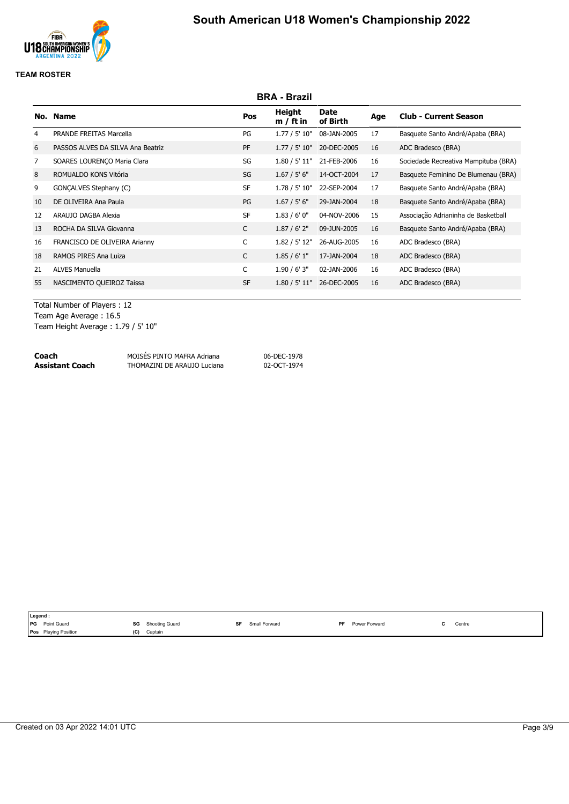

|                | <b>BRA - Brazil</b>               |           |                       |                  |     |                                      |  |  |  |  |
|----------------|-----------------------------------|-----------|-----------------------|------------------|-----|--------------------------------------|--|--|--|--|
|                | No. Name                          | Pos       | Height<br>$m / ft$ in | Date<br>of Birth | Age | <b>Club - Current Season</b>         |  |  |  |  |
| 4              | <b>PRANDE FREITAS Marcella</b>    | PG        | 1.77 / 5' 10"         | 08-JAN-2005      | 17  | Basquete Santo André/Apaba (BRA)     |  |  |  |  |
| 6              | PASSOS ALVES DA SILVA Ana Beatriz | PF        | 1.77 / 5' 10"         | 20-DEC-2005      | 16  | ADC Bradesco (BRA)                   |  |  |  |  |
| $\overline{7}$ | SOARES LOURENÇO Maria Clara       | SG        | 1.80 / 5' 11"         | 21-FEB-2006      | 16  | Sociedade Recreativa Mampituba (BRA) |  |  |  |  |
| 8              | ROMUALDO KONS Vitória             | SG        | 1.67 / 5' 6''         | 14-OCT-2004      | 17  | Basquete Feminino De Blumenau (BRA)  |  |  |  |  |
| 9              | GONCALVES Stephany (C)            | <b>SF</b> | 1.78 / 5' 10"         | 22-SEP-2004      | 17  | Basquete Santo André/Apaba (BRA)     |  |  |  |  |
| 10             | DE OLIVEIRA Ana Paula             | PG        | 1.67 / 5' 6''         | 29-JAN-2004      | 18  | Basquete Santo André/Apaba (BRA)     |  |  |  |  |
| 12             | ARAUJO DAGBA Alexia               | <b>SF</b> | 1.83/6'0''            | 04-NOV-2006      | 15  | Associação Adrianinha de Basketball  |  |  |  |  |
| 13             | ROCHA DA SILVA Giovanna           | C         | 1.87 / 6' 2''         | 09-JUN-2005      | 16  | Basquete Santo André/Apaba (BRA)     |  |  |  |  |
| 16             | FRANCISCO DE OLIVEIRA Arianny     | C         | 1.82 / 5' 12"         | 26-AUG-2005      | 16  | ADC Bradesco (BRA)                   |  |  |  |  |
| 18             | RAMOS PIRES Ana Luiza             | C         | 1.85/6'1"             | 17-JAN-2004      | 18  | ADC Bradesco (BRA)                   |  |  |  |  |
| 21             | <b>ALVES Manuella</b>             | C         | 1.90 / 6' 3''         | 02-JAN-2006      | 16  | ADC Bradesco (BRA)                   |  |  |  |  |
| 55             | NASCIMENTO QUEIROZ Taissa         | <b>SF</b> | 1.80 / 5' 11"         | 26-DEC-2005      | 16  | ADC Bradesco (BRA)                   |  |  |  |  |
|                |                                   |           |                       |                  |     |                                      |  |  |  |  |

Total Number of Players : 12 Team Age Average : 16.5 Team Height Average : 1.79 / 5' 10"

| Coach           | MOISÉS PINTO MAFRA Adriana  | 06-DEC-1978 |
|-----------------|-----------------------------|-------------|
| Assistant Coach | THOMAZINI DE ARAUJO Luciana | 02-OCT-1974 |

| SG<br><b>PG</b><br>Point Guard<br>S۴<br><b>PF</b><br>Shooting Guard<br>Small Forward<br>Power Forward | Legend: |                                           |
|-------------------------------------------------------------------------------------------------------|---------|-------------------------------------------|
|                                                                                                       |         | Centre<br>the contract of the contract of |
| <b>Playing Position</b><br>(C)<br>Captain<br><b>Pos</b>                                               |         |                                           |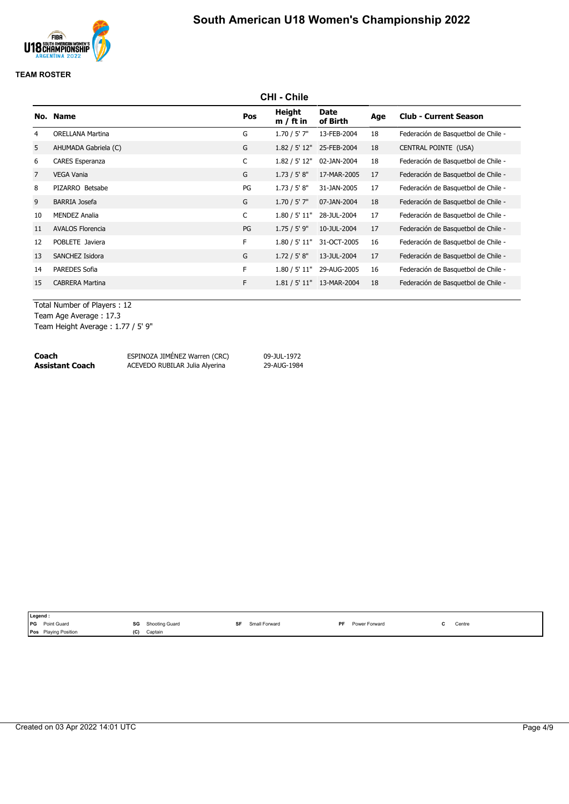

|                | <b>CHI - Chile</b>      |     |                       |                  |     |                                     |  |  |  |  |
|----------------|-------------------------|-----|-----------------------|------------------|-----|-------------------------------------|--|--|--|--|
|                | No. Name                | Pos | Height<br>$m / ft$ in | Date<br>of Birth | Age | <b>Club - Current Season</b>        |  |  |  |  |
| 4              | <b>ORELLANA Martina</b> | G   | $1.70 / 5'$ 7"        | 13-FEB-2004      | 18  | Federación de Basquetbol de Chile - |  |  |  |  |
| 5              | AHUMADA Gabriela (C)    | G   | 1.82 / 5' 12"         | 25-FEB-2004      | 18  | CENTRAL POINTE (USA)                |  |  |  |  |
| 6              | <b>CARES Esperanza</b>  | C   | 1.82 / 5' 12"         | 02-JAN-2004      | 18  | Federación de Basquetbol de Chile - |  |  |  |  |
| $\overline{7}$ | <b>VEGA Vania</b>       | G   | 1.73 / 5' 8''         | 17-MAR-2005      | 17  | Federación de Basquetbol de Chile - |  |  |  |  |
| 8              | PIZARRO Betsabe         | PG  | 1.73 / 5' 8''         | 31-JAN-2005      | 17  | Federación de Basquetbol de Chile - |  |  |  |  |
| 9              | <b>BARRIA Josefa</b>    | G   | $1.70 / 5'$ 7"        | 07-JAN-2004      | 18  | Federación de Basquetbol de Chile - |  |  |  |  |
| 10             | <b>MENDEZ Analia</b>    | C   | 1.80 / 5' 11"         | 28-JUL-2004      | 17  | Federación de Basquetbol de Chile - |  |  |  |  |
| 11             | <b>AVALOS Florencia</b> | PG  | $1.75 / 5'$ 9"        | 10-JUL-2004      | 17  | Federación de Basquetbol de Chile - |  |  |  |  |
| 12             | POBLETE Javiera         | F.  | 1.80 / 5' 11"         | 31-OCT-2005      | 16  | Federación de Basquetbol de Chile - |  |  |  |  |
| 13             | SANCHEZ Isidora         | G   | 1.72 / 5' 8''         | 13-JUL-2004      | 17  | Federación de Basquetbol de Chile - |  |  |  |  |
| 14             | <b>PAREDES Sofia</b>    | F.  | 1.80 / 5' 11"         | 29-AUG-2005      | 16  | Federación de Basquetbol de Chile - |  |  |  |  |
| 15             | <b>CABRERA Martina</b>  | F.  | 1.81 / 5' 11"         | 13-MAR-2004      | 18  | Federación de Basquetbol de Chile - |  |  |  |  |
|                |                         |     |                       |                  |     |                                     |  |  |  |  |

Total Number of Players : 12

Team Age Average : 17.3 Team Height Average : 1.77 / 5' 9"

| Coach                  | ESPINOZA JIMÉNEZ Warren (CRC)  | 09-JUL-1972 |
|------------------------|--------------------------------|-------------|
| <b>Assistant Coach</b> | ACEVEDO RUBILAR Julia Alyerina | 29-AUG-1984 |

**Assistant Coach** ACEVEDO RUBILAR Julia Alyerina 29-AUG-1984

| Legend :                       |                     |                                                   |    |               |    |                      |                                           |
|--------------------------------|---------------------|---------------------------------------------------|----|---------------|----|----------------------|-------------------------------------------|
| <b>IPG</b><br>Point Guard      | SG<br>$\sim$ $\sim$ | Shooting Guard<br>the contract of the contract of | SF | Small Forward | PF | <b>Power Forward</b> | Centre<br>the contract of the contract of |
| Plaving Position<br><b>Pos</b> | (C)                 | Captain                                           |    |               |    |                      |                                           |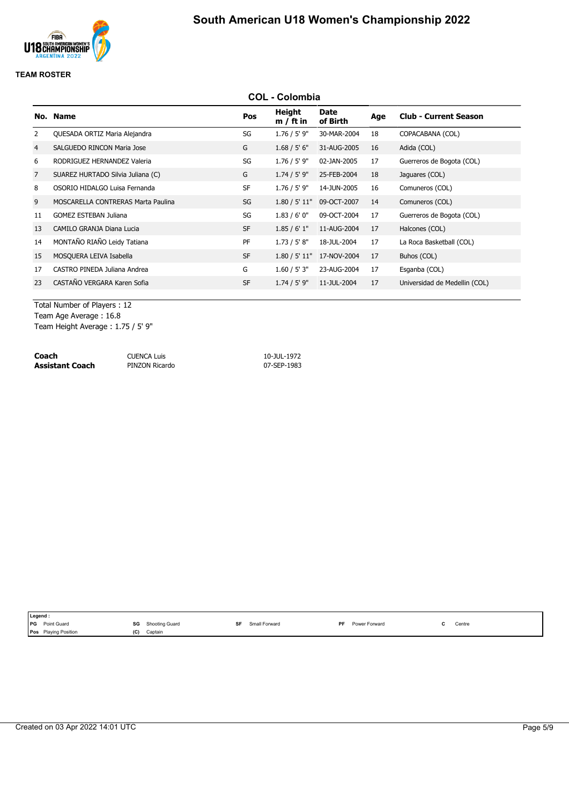

|    | <b>COL - Colombia</b>              |           |                       |                  |     |                               |  |  |
|----|------------------------------------|-----------|-----------------------|------------------|-----|-------------------------------|--|--|
|    | No. Name                           | Pos       | Height<br>$m / ft$ in | Date<br>of Birth | Age | <b>Club - Current Season</b>  |  |  |
| 2  | QUESADA ORTIZ Maria Alejandra      | SG        | $1.76 / 5'$ 9"        | 30-MAR-2004      | 18  | COPACABANA (COL)              |  |  |
| 4  | SALGUEDO RINCON Maria Jose         | G         | 1.68 / 5' 6''         | 31-AUG-2005      | 16  | Adida (COL)                   |  |  |
| 6  | RODRIGUEZ HERNANDEZ Valeria        | SG        | $1.76 / 5'$ 9"        | 02-JAN-2005      | 17  | Guerreros de Bogota (COL)     |  |  |
| 7  | SUAREZ HURTADO Silvia Juliana (C)  | G         | $1.74 / 5'$ 9"        | 25-FEB-2004      | 18  | Jaguares (COL)                |  |  |
| 8  | OSORIO HIDALGO Luisa Fernanda      | <b>SF</b> | $1.76 / 5'$ 9"        | 14-JUN-2005      | 16  | Comuneros (COL)               |  |  |
| 9  | MOSCARELLA CONTRERAS Marta Paulina | SG        | 1.80 / 5' 11"         | 09-OCT-2007      | 14  | Comuneros (COL)               |  |  |
| 11 | <b>GOMEZ ESTEBAN Juliana</b>       | SG        | 1.83/6'0''            | 09-OCT-2004      | 17  | Guerreros de Bogota (COL)     |  |  |
| 13 | CAMILO GRANJA Diana Lucia          | <b>SF</b> | 1.85/6'1"             | 11-AUG-2004      | 17  | Halcones (COL)                |  |  |
| 14 | MONTAÑO RIAÑO Leidy Tatiana        | PF        | 1.73 / 5' 8''         | 18-JUL-2004      | 17  | La Roca Basketball (COL)      |  |  |
| 15 | MOSQUERA LEIVA Isabella            | <b>SF</b> | 1.80 / 5' 11"         | 17-NOV-2004      | 17  | Buhos (COL)                   |  |  |
| 17 | CASTRO PINEDA Juliana Andrea       | G         | 1.60 / 5' 3"          | 23-AUG-2004      | 17  | Esganba (COL)                 |  |  |
| 23 | CASTAÑO VERGARA Karen Sofia        | <b>SF</b> | $1.74 / 5'$ 9"        | 11-JUL-2004      | 17  | Universidad de Medellin (COL) |  |  |
|    |                                    |           |                       |                  |     |                               |  |  |

Total Number of Players : 12 Team Age Average : 16.8 Team Height Average : 1.75 / 5' 9"

| Coach           | <b>CUENCA Luis</b> | 10-JUL-1972 |
|-----------------|--------------------|-------------|
| Assistant Coach | PINZON Ricardo     | 07-SEP-1983 |

| <b>PG</b> Point Guard<br>SG<br>ᅂ<br>Power Forward<br><b>DF</b><br>Shooting Guard<br>Small Forward | Centre<br>the contract of the contract of |
|---------------------------------------------------------------------------------------------------|-------------------------------------------|
| <b>Pos</b> Playing Position<br>(C)<br>Captain                                                     |                                           |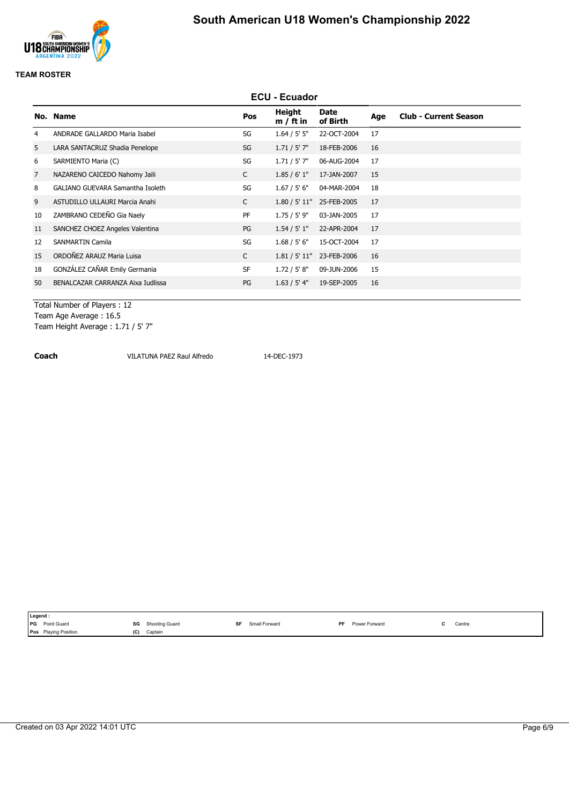

### **TEAM ROSTER**

|    | <b>ECU - Ecuador</b>              |              |                       |                           |     |                              |  |  |
|----|-----------------------------------|--------------|-----------------------|---------------------------|-----|------------------------------|--|--|
|    | No. Name                          | Pos          | Height<br>$m / ft$ in | Date<br>of Birth          | Age | <b>Club - Current Season</b> |  |  |
| 4  | ANDRADE GALLARDO Maria Isabel     | SG           | 1.64 / 5' 5''         | 22-OCT-2004               | 17  |                              |  |  |
| 5  | LARA SANTACRUZ Shadia Penelope    | SG           | 1.71 / 5' 7''         | 18-FEB-2006               | 16  |                              |  |  |
| 6  | SARMIENTO Maria (C)               | SG           | $1.71 / 5'$ 7"        | 06-AUG-2004               | 17  |                              |  |  |
| 7  | NAZARENO CAICEDO Nahomy Jaili     | C            | 1.85/6'1"             | 17-JAN-2007               | 15  |                              |  |  |
| 8  | GALIANO GUEVARA Samantha Isoleth  | SG           | 1.67 / 5' 6''         | 04-MAR-2004               | 18  |                              |  |  |
| 9  | ASTUDILLO ULLAURI Marcia Anahi    | C            |                       | 1.80 / 5' 11" 25-FEB-2005 | 17  |                              |  |  |
| 10 | ZAMBRANO CEDEÑO Gia Naely         | PF           | 1.75 / 5' 9"          | 03-JAN-2005               | 17  |                              |  |  |
| 11 | SANCHEZ CHOEZ Angeles Valentina   | PG           | 1.54 / 5' 1''         | 22-APR-2004               | 17  |                              |  |  |
| 12 | <b>SANMARTIN Camila</b>           | SG           | 1.68 / 5' 6''         | 15-OCT-2004               | 17  |                              |  |  |
| 15 | ORDOÑEZ ARAUZ Maria Luisa         | $\mathsf{C}$ | 1.81 / 5' 11"         | 23-FEB-2006               | 16  |                              |  |  |
| 18 | GONZÁLEZ CAÑAR Emily Germania     | <b>SF</b>    | 1.72 / 5' 8''         | 09-JUN-2006               | 15  |                              |  |  |
| 50 | BENALCAZAR CARRANZA Aixa Iudlissa | PG           | 1.63 / 5' 4"          | 19-SEP-2005               | 16  |                              |  |  |
|    |                                   |              |                       |                           |     |                              |  |  |

Total Number of Players : 12 Team Age Average : 16.5 Team Height Average : 1.71 / 5' 7"

**Coach VILATUNA PAEZ Raul Alfredo** 14-DEC-1973

| Legend:                               |                                                                 |                     |                      |                                               |  |
|---------------------------------------|-----------------------------------------------------------------|---------------------|----------------------|-----------------------------------------------|--|
| Point Guard<br><b>IPG</b>             | SG<br>Shooting Guard<br>$ -$<br>the contract of the contract of | Small Forward<br>SF | DE.<br>Power Forward | Centre<br>the contract of the contract of the |  |
| <b>Playing Position</b><br><b>Pos</b> | (C)<br>Captain                                                  |                     |                      |                                               |  |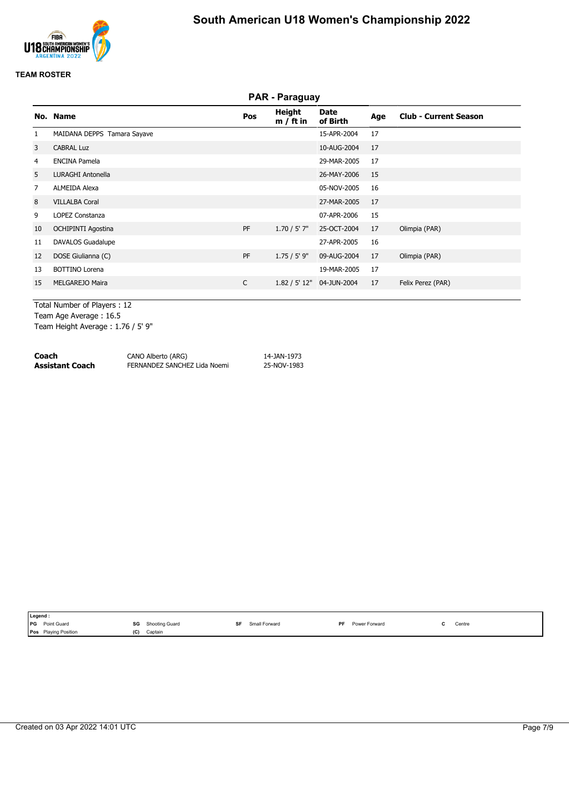

### **TEAM ROSTER**

|                | <b>PAR - Paraguay</b>       |              |                       |                           |     |                              |  |  |
|----------------|-----------------------------|--------------|-----------------------|---------------------------|-----|------------------------------|--|--|
|                | No. Name                    | Pos          | Height<br>$m / ft$ in | Date<br>of Birth          | Age | <b>Club - Current Season</b> |  |  |
| 1              | MAIDANA DEPPS Tamara Sayave |              |                       | 15-APR-2004               | 17  |                              |  |  |
| 3              | <b>CABRAL Luz</b>           |              |                       | 10-AUG-2004               | 17  |                              |  |  |
| 4              | <b>ENCINA Pamela</b>        |              |                       | 29-MAR-2005               | 17  |                              |  |  |
| 5              | <b>LURAGHI Antonella</b>    |              |                       | 26-MAY-2006               | 15  |                              |  |  |
| $\overline{7}$ | <b>ALMEIDA Alexa</b>        |              |                       | 05-NOV-2005               | 16  |                              |  |  |
| 8              | <b>VILLALBA Coral</b>       |              |                       | 27-MAR-2005               | 17  |                              |  |  |
| 9              | LOPEZ Constanza             |              |                       | 07-APR-2006               | 15  |                              |  |  |
| 10             | <b>OCHIPINTI Agostina</b>   | PF           | $1.70 / 5'$ 7"        | 25-OCT-2004               | 17  | Olimpia (PAR)                |  |  |
| 11             | DAVALOS Guadalupe           |              |                       | 27-APR-2005               | 16  |                              |  |  |
| 12             | DOSE Giulianna (C)          | PF           | $1.75 / 5'$ 9"        | 09-AUG-2004               | 17  | Olimpia (PAR)                |  |  |
| 13             | <b>BOTTINO Lorena</b>       |              |                       | 19-MAR-2005               | 17  |                              |  |  |
| 15             | MELGAREJO Maira             | $\mathsf{C}$ |                       | 1.82 / 5' 12" 04-JUN-2004 | 17  | Felix Perez (PAR)            |  |  |
|                |                             |              |                       |                           |     |                              |  |  |

Total Number of Players : 12 Team Age Average : 16.5 Team Height Average : 1.76 / 5' 9"

| Coach           | CANO Alberto (ARG)           | 14-JAN-1973 |
|-----------------|------------------------------|-------------|
| Assistant Coach | FERNANDEZ SANCHEZ Lida Noemi | 25-NOV-1983 |

| Legend:                   |     |                |    |               |     |               |        |
|---------------------------|-----|----------------|----|---------------|-----|---------------|--------|
| Point Guard<br><b>IPG</b> | SG  | Shooting Guard | SF | Small Forward | PF. | Power Forward | Centre |
| Pos Playing Position      | (C) | Captain        |    |               |     |               |        |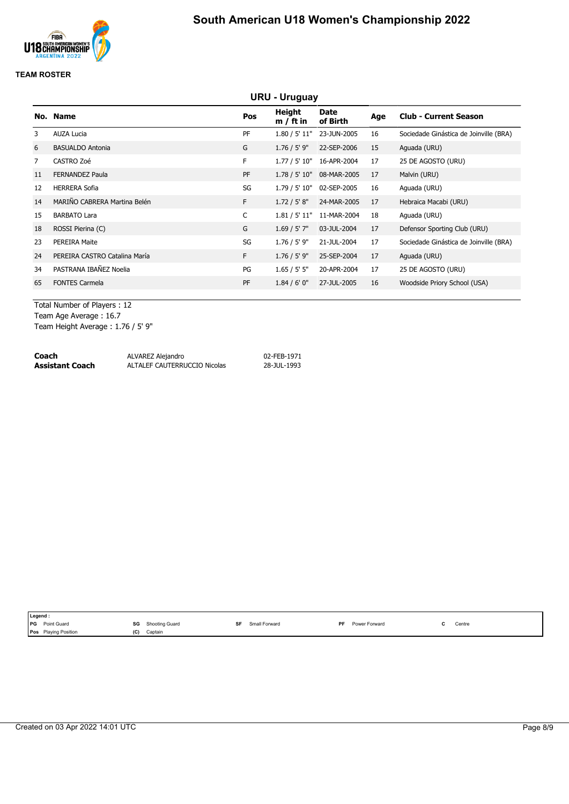

|                | <b>URU - Uruguay</b>          |           |                       |                         |     |                                        |  |  |
|----------------|-------------------------------|-----------|-----------------------|-------------------------|-----|----------------------------------------|--|--|
|                | No. Name                      | Pos       | Height<br>$m / ft$ in | <b>Date</b><br>of Birth | Age | <b>Club - Current Season</b>           |  |  |
| 3              | <b>AUZA Lucia</b>             | PF        | 1.80 / 5' 11"         | 23-JUN-2005             | 16  | Sociedade Ginástica de Joinville (BRA) |  |  |
| 6              | <b>BASUALDO Antonia</b>       | G         | $1.76 / 5'$ 9"        | 22-SEP-2006             | 15  | Aguada (URU)                           |  |  |
| $\overline{7}$ | CASTRO Zoé                    | F.        | 1.77 / 5' 10"         | 16-APR-2004             | 17  | 25 DE AGOSTO (URU)                     |  |  |
| 11             | <b>FERNANDEZ Paula</b>        | <b>PF</b> | 1.78 / 5' 10"         | 08-MAR-2005             | 17  | Malvin (URU)                           |  |  |
| 12             | <b>HERRERA Sofia</b>          | SG        | 1.79 / 5' 10"         | 02-SEP-2005             | 16  | Aguada (URU)                           |  |  |
| 14             | MARIÑO CABRERA Martina Belén  | F.        | 1.72 / 5' 8''         | 24-MAR-2005             | 17  | Hebraica Macabi (URU)                  |  |  |
| 15             | <b>BARBATO Lara</b>           | C         | 1.81 / 5' 11"         | 11-MAR-2004             | 18  | Aguada (URU)                           |  |  |
| 18             | ROSSI Pierina (C)             | G         | 1.69 / 5' 7''         | 03-JUL-2004             | 17  | Defensor Sporting Club (URU)           |  |  |
| 23             | <b>PEREIRA Maite</b>          | SG        | $1.76 / 5'$ 9"        | 21-JUL-2004             | 17  | Sociedade Ginástica de Joinville (BRA) |  |  |
| 24             | PEREIRA CASTRO Catalina María | F.        | $1.76 / 5'$ 9"        | 25-SEP-2004             | 17  | Aguada (URU)                           |  |  |
| 34             | PASTRANA IBAÑEZ Noelia        | PG        | 1.65 / 5' 5''         | 20-APR-2004             | 17  | 25 DE AGOSTO (URU)                     |  |  |
| 65             | <b>FONTES Carmela</b>         | PF        | 1.84 / 6' 0''         | 27-JUL-2005             | 16  | Woodside Priory School (USA)           |  |  |
|                |                               |           |                       |                         |     |                                        |  |  |

Total Number of Players : 12 Team Age Average : 16.7

Team Height Average : 1.76 / 5' 9"

| Coach           | ALVAREZ Alejandro            | 02-FEB-1971 |
|-----------------|------------------------------|-------------|
| Assistant Coach | ALTALEF CAUTERRUCCIO Nicolas | 28-JUL-1993 |

|            | Legend .                       |                      |                            |                            |                                               |
|------------|--------------------------------|----------------------|----------------------------|----------------------------|-----------------------------------------------|
| <b>IPG</b> | Point Guard                    | SG<br>Shooting Guard | <b>QF</b><br>Small Forward | Power Forward<br><b>DE</b> | Centre<br><br>the contract of the contract of |
|            | <b>Playing Position</b><br>Pos | (C)<br>Captain       |                            |                            |                                               |
|            |                                |                      |                            |                            |                                               |